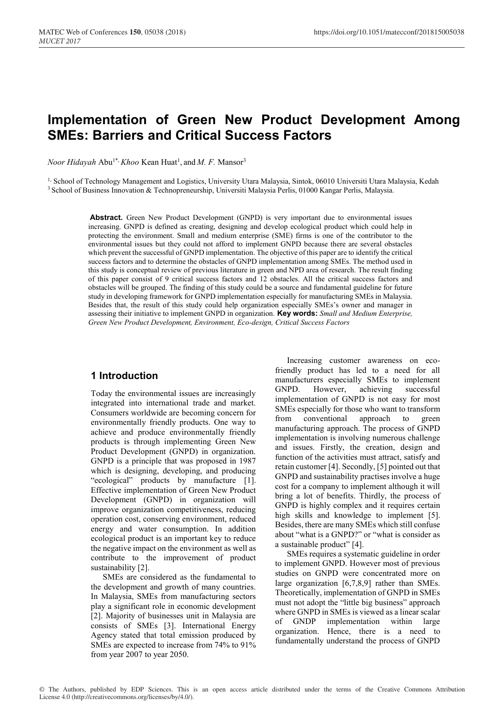# **Implementation of Green New Product Development Among SMEs: Barriers and Critical Success Factors**

*Noor Hidayah* Abu<sup>1\*,</sup> *Khoo* Kean Huat<sup>1</sup>, and *M. F.* Mansor<sup>3</sup>

<sup>1,</sup> School of Technology Management and Logistics, University Utara Malaysia, Sintok, 06010 Universiti Utara Malaysia, Kedah 3 School of Business Innovation & Technopreneurship, Universiti Malaysia Perlis, 01000 Kangar Perlis, Malaysia.

> **Abstract.** Green New Product Development (GNPD) is very important due to environmental issues increasing. GNPD is defined as creating, designing and develop ecological product which could help in protecting the environment. Small and medium enterprise (SME) firms is one of the contributor to the environmental issues but they could not afford to implement GNPD because there are several obstacles which prevent the successful of GNPD implementation. The objective of this paper are to identify the critical success factors and to determine the obstacles of GNPD implementation among SMEs. The method used in this study is conceptual review of previous literature in green and NPD area of research. The result finding of this paper consist of 9 critical success factors and 12 obstacles. All the critical success factors and obstacles will be grouped. The finding of this study could be a source and fundamental guideline for future study in developing framework for GNPD implementation especially for manufacturing SMEs in Malaysia. Besides that, the result of this study could help organization especially SMEs's owner and manager in assessing their initiative to implement GNPD in organization. **Key words:** *Small and Medium Enterprise, Green New Product Development, Environment, Eco-design, Critical Success Factors*

### **1 Introduction**

Today the environmental issues are increasingly integrated into international trade and market. Consumers worldwide are becoming concern for environmentally friendly products. One way to achieve and produce environmentally friendly products is through implementing Green New Product Development (GNPD) in organization. GNPD is a principle that was proposed in 1987 which is designing, developing, and producing "ecological" products by manufacture [1]. Effective implementation of Green New Product Development (GNPD) in organization will improve organization competitiveness, reducing operation cost, conserving environment, reduced energy and water consumption. In addition ecological product is an important key to reduce the negative impact on the environment as well as contribute to the improvement of product sustainability [2].

SMEs are considered as the fundamental to the development and growth of many countries. In Malaysia, SMEs from manufacturing sectors play a significant role in economic development [2]. Majority of businesses unit in Malaysia are consists of SMEs [3]. International Energy Agency stated that total emission produced by SMEs are expected to increase from 74% to 91% from year 2007 to year 2050.

Increasing customer awareness on ecofriendly product has led to a need for all manufacturers especially SMEs to implement GNPD. However, achieving successful implementation of GNPD is not easy for most SMEs especially for those who want to transform from conventional approach to green manufacturing approach. The process of GNPD implementation is involving numerous challenge and issues. Firstly, the creation, design and function of the activities must attract, satisfy and retain customer [4]. Secondly, [5] pointed out that GNPD and sustainability practises involve a huge cost for a company to implement although it will bring a lot of benefits. Thirdly, the process of GNPD is highly complex and it requires certain high skills and knowledge to implement [5]. Besides, there are many SMEs which still confuse about "what is a GNPD?" or "what is consider as a sustainable product" [4].

SMEs requires a systematic guideline in order to implement GNPD. However most of previous studies on GNPD were concentrated more on large organization [6,7,8,9] rather than SMEs. Theoretically, implementation of GNPD in SMEs must not adopt the "little big business" approach where GNPD in SMEs is viewed as a linear scalar of GNDP implementation within large organization. Hence, there is a need to fundamentally understand the process of GNPD

© The Authors, published by EDP Sciences. This is an open access article distributed under the terms of the Creative Commons Attribution License 4.0 (http://creativecommons.org/licenses/by/4.0/).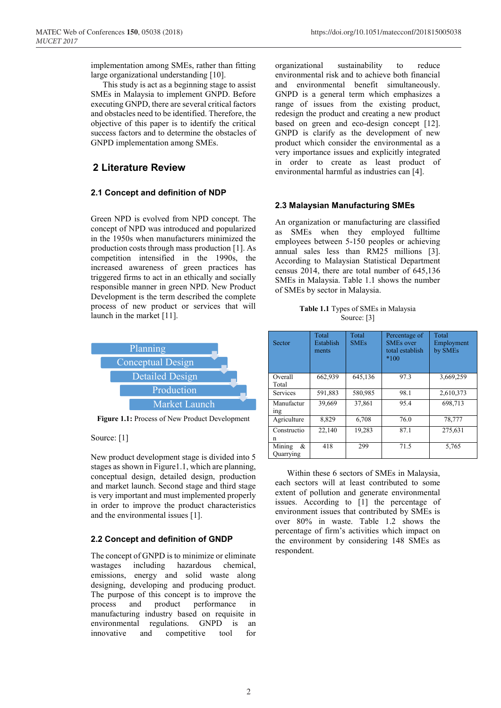MATEC Web of Conferences **150**, 05038 (2018) https://doi.org/10.1051/matecconf/201815005038

implementation among SMEs, rather than fitting large organizational understanding [10].

This study is act as a beginning stage to assist SMEs in Malaysia to implement GNPD. Before executing GNPD, there are several critical factors and obstacles need to be identified. Therefore, the objective of this paper is to identify the critical success factors and to determine the obstacles of GNPD implementation among SMEs.

# **2 Literature Review**

#### **2.1 Concept and definition of NDP**

Green NPD is evolved from NPD concept. The concept of NPD was introduced and popularized in the 1950s when manufacturers minimized the production costs through mass production [1]. As competition intensified in the 1990s, the increased awareness of green practices has triggered firms to act in an ethically and socially responsible manner in green NPD. New Product Development is the term described the complete process of new product or services that will launch in the market [11].



**Figure 1.1:** Process of New Product Development

#### Source: [1]

New product development stage is divided into 5 stages as shown in Figure1.1, which are planning, conceptual design, detailed design, production and market launch. Second stage and third stage is very important and must implemented properly in order to improve the product characteristics and the environmental issues [1].

#### **2.2 Concept and definition of GNDP**

The concept of GNPD is to minimize or eliminate wastages including hazardous chemical, emissions, energy and solid waste along designing, developing and producing product. The purpose of this concept is to improve the process and product performance in manufacturing industry based on requisite in environmental regulations. GNPD is an innovative and competitive tool for

organizational sustainability to reduce environmental risk and to achieve both financial and environmental benefit simultaneously. GNPD is a general term which emphasizes a range of issues from the existing product, redesign the product and creating a new product based on green and eco-design concept [12]. GNPD is clarify as the development of new product which consider the environmental as a very importance issues and explicitly integrated in order to create as least product of environmental harmful as industries can [4].

#### **2.3 Malaysian Manufacturing SMEs**

An organization or manufacturing are classified as SMEs when they employed fulltime employees between 5-150 peoples or achieving annual sales less than RM25 millions [3]. According to Malaysian Statistical Department census 2014, there are total number of 645,136 SMEs in Malaysia. Table 1.1 shows the number of SMEs by sector in Malaysia.

| Table 1.1 Types of SMEs in Malaysia |
|-------------------------------------|
| Source: [3]                         |

| Sector                        | Total<br>Establish<br>ments | Total<br><b>SMEs</b> | Percentage of<br><b>SMEs</b> over<br>total establish<br>$*100$ | Total<br>Employment<br>by SMEs |
|-------------------------------|-----------------------------|----------------------|----------------------------------------------------------------|--------------------------------|
| Overall<br>Total              | 662,939                     | 645,136              | 97.3                                                           | 3,669,259                      |
| <b>Services</b>               | 591,883                     | 580,985              | 98.1                                                           | 2,610,373                      |
| Manufactur<br><sub>1</sub> ng | 39,669                      | 37.861               | 95.4                                                           | 698,713                        |
| Agriculture                   | 8.829                       | 6.708                | 76.0                                                           | 78,777                         |
| Constructio<br>n              | 22.140                      | 19.283               | 87.1                                                           | 275,631                        |
| Mining<br>&<br>Ouarrying      | 418                         | 299                  | 71.5                                                           | 5.765                          |

Within these 6 sectors of SMEs in Malaysia, each sectors will at least contributed to some extent of pollution and generate environmental issues. According to [1] the percentage of environment issues that contributed by SMEs is over 80% in waste. Table 1.2 shows the percentage of firm's activities which impact on the environment by considering 148 SMEs as respondent.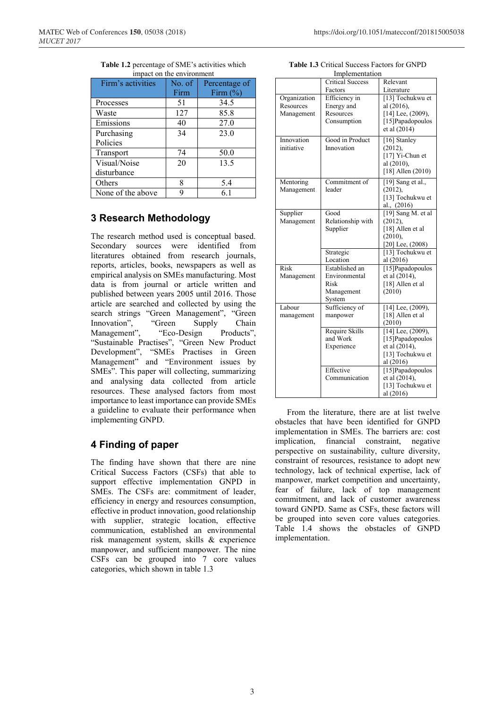| ппраст он иге енуноппент |        |               |  |  |
|--------------------------|--------|---------------|--|--|
| Firm's activities        | No. of | Percentage of |  |  |
|                          | Firm   | Firm $(\%)$   |  |  |
| Processes                | 51     | 34.5          |  |  |
| Waste                    | 127    | 85.8          |  |  |
| Emissions                | 40     | 27.0          |  |  |
| Purchasing               | 34     | 23.0          |  |  |
| Policies                 |        |               |  |  |
| Transport                | 74     | 50.0          |  |  |
| Visual/Noise             | 20     | 13.5          |  |  |
| disturbance              |        |               |  |  |
| Others                   | 8      | 5.4           |  |  |
| None of the above        | q      | 6.1           |  |  |

#### **Table 1.2** percentage of SME's activities which impact on the environment

# **3 Research Methodology**

The research method used is conceptual based. Secondary sources were identified from literatures obtained from research journals, reports, articles, books, newspapers as well as empirical analysis on SMEs manufacturing. Most data is from journal or article written and published between years 2005 until 2016. Those article are searched and collected by using the search strings "Green Management", "Green Innovation", "Green Supply Chain Management", "Eco-Design Products", "Sustainable Practises", "Green New Product Development", "SMEs Practises in Green Management" and "Environment issues by SMEs". This paper will collecting, summarizing and analysing data collected from article resources. These analysed factors from most importance to least importance can provide SMEs a guideline to evaluate their performance when implementing GNPD.

# **4 Finding of paper**

The finding have shown that there are nine Critical Success Factors (CSFs) that able to support effective implementation GNPD in SMEs. The CSFs are: commitment of leader, efficiency in energy and resources consumption, effective in product innovation, good relationship with supplier, strategic location, effective communication, established an environmental risk management system, skills & experience manpower, and sufficient manpower. The nine CSFs can be grouped into 7 core values categories, which shown in table 1.3

| Implementation                          |                                                                 |                                                                                               |  |  |
|-----------------------------------------|-----------------------------------------------------------------|-----------------------------------------------------------------------------------------------|--|--|
|                                         | <b>Critical Success</b>                                         | Relevant                                                                                      |  |  |
|                                         | Factors                                                         | Literature                                                                                    |  |  |
| Organization<br>Resources<br>Management | Efficiency in<br>Energy and<br>Resources<br>Consumption         | [13] Tochukwu et<br>al (2016),<br>$[14]$ Lee, $(2009)$ ,<br>[15] Papadopoulos<br>et al (2014) |  |  |
| Innovation<br>initiative                | Good in Product<br>Innovation                                   | [16] Stanley<br>(2012),<br>[17] Yi-Chun et<br>al (2010),<br>$[18]$ Allen $(2010)$             |  |  |
| Mentoring<br>Management                 | Commitment of<br>leader                                         | [19] Sang et al.,<br>(2012),<br>[13] Tochukwu et<br>al., (2016)                               |  |  |
| Supplier<br>Management                  | Good<br>Relationship with<br>Supplier                           | $[19]$ Sang M. et al<br>(2012),<br>[18] Allen et al<br>(2010),<br>$[20]$ Lee, $(2008)$        |  |  |
|                                         | Strategic<br>Location                                           | [13] Tochukwu et<br>al (2016)                                                                 |  |  |
| Risk<br>Management                      | Established an<br>Environmental<br>Risk<br>Management<br>System | [15] Papadopoulos<br>et al (2014),<br>[18] Allen et al<br>(2010)                              |  |  |
| Labour<br>management                    | Sufficiency of<br>manpower                                      | [14] Lee, (2009),<br>[18] Allen et al<br>(2010)                                               |  |  |
|                                         | Require Skills<br>and Work<br>Experience                        | $[14]$ Lee, $(2009)$ ,<br>[15] Papadopoulos<br>et al (2014),<br>[13] Tochukwu et<br>al (2016) |  |  |
|                                         | Effective<br>Communication                                      | [15] Papadopoulos<br>et al (2014),<br>[13] Tochukwu et<br>al (2016)                           |  |  |

**Table 1.3** Critical Success Factors for GNPD

From the literature, there are at list twelve obstacles that have been identified for GNPD implementation in SMEs. The barriers are: cost implication, financial constraint, negative perspective on sustainability, culture diversity, constraint of resources, resistance to adopt new technology, lack of technical expertise, lack of manpower, market competition and uncertainty, fear of failure, lack of top management commitment, and lack of customer awareness toward GNPD. Same as CSFs, these factors will be grouped into seven core values categories. Table 1.4 shows the obstacles of GNPD implementation.

3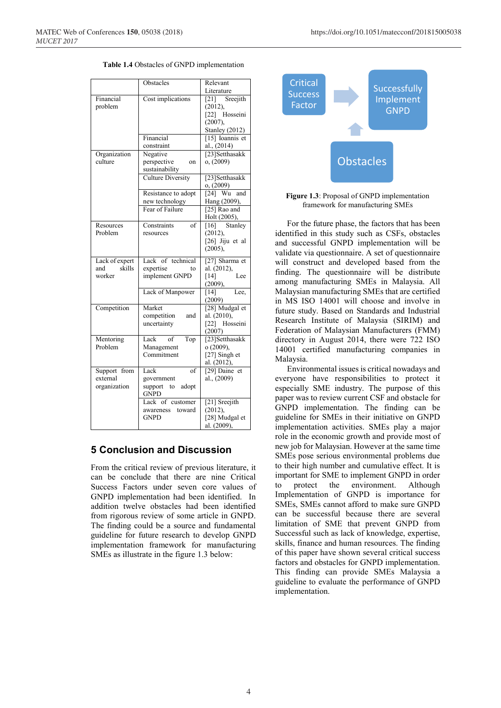| Table 1.4 Obstacles of GNPD implementation |  |
|--------------------------------------------|--|
|--------------------------------------------|--|

|                                           | Obstacles                                                                          | Relevant                                                                                                |
|-------------------------------------------|------------------------------------------------------------------------------------|---------------------------------------------------------------------------------------------------------|
| Financial<br>problem                      | Cost implications                                                                  | Literature<br>$[21]$ Sreejith<br>(2012),<br>Hosseini<br>$\lceil 22 \rceil$<br>(2007),<br>Stanley (2012) |
|                                           | Financial<br>constraint                                                            | [15] Ioannis et<br>al., (2014)                                                                          |
| Organization<br>culture                   | Negative<br>perspective<br>on<br>sustainability                                    | [23]Setthasakk<br>o, (2009)                                                                             |
|                                           | <b>Culture Diversity</b>                                                           | [23]Setthasakk<br>o, (2009)                                                                             |
|                                           | Resistance to adopt<br>new technology                                              | and<br>$[24]$ Wu<br>Hang (2009),                                                                        |
|                                           | Fear of Failure                                                                    | [25] Rao and<br>Holt (2005),                                                                            |
| Resources<br>Problem                      | of<br>Constraints<br>resources                                                     | [16] Stanley<br>(2012),<br>[26] Jiju et al<br>$(2005)$ ,                                                |
| Lack of expert<br>skills<br>and<br>worker | Lack of technical<br>expertise<br>to<br>implement GNPD                             | [27] Sharma et<br>al. (2012),<br>Lee<br>$[14]$<br>(2009),                                               |
|                                           | Lack of Manpower                                                                   | Lee,<br>$[14]$<br>(2009)                                                                                |
| Competition                               | Market<br>competition<br>and<br>uncertainty                                        | [28] Mudgal et<br>al. (2010),<br>[22] Hosseini<br>(2007)                                                |
| Mentoring<br>Problem                      | Lack of<br>Top<br>Management<br>Commitment                                         | [23]Setthasakk<br>o (2009),<br>[27] Singh et<br>al. (2012),                                             |
| Support from<br>external<br>organization  | Lack<br>$\overline{\text{of}}$<br>government<br>support to<br>adopt<br><b>GNPD</b> | [29] Daine et<br>al., (2009)                                                                            |
|                                           | Lack of customer<br>awareness<br>toward<br><b>GNPD</b>                             | $\overline{[21]}$ Sreejith<br>(2012),<br>[28] Mudgal et<br>al. (2009),                                  |

#### **5 Conclusion and Discussion**

From the critical review of previous literature, it can be conclude that there are nine Critical Success Factors under seven core values of GNPD implementation had been identified. In addition twelve obstacles had been identified from rigorous review of some article in GNPD. The finding could be a source and fundamental guideline for future research to develop GNPD implementation framework for manufacturing SMEs as illustrate in the figure 1.3 below:



**Figure 1.3**: Proposal of GNPD implementation framework for manufacturing SMEs

For the future phase, the factors that has been identified in this study such as CSFs, obstacles and successful GNPD implementation will be validate via questionnaire. A set of questionnaire will construct and developed based from the finding. The questionnaire will be distribute among manufacturing SMEs in Malaysia. All Malaysian manufacturing SMEs that are certified in MS ISO 14001 will choose and involve in future study. Based on Standards and Industrial Research Institute of Malaysia (SIRIM) and Federation of Malaysian Manufacturers (FMM) directory in August 2014, there were 722 ISO 14001 certified manufacturing companies in Malaysia.

Environmental issues is critical nowadays and everyone have responsibilities to protect it especially SME industry. The purpose of this paper was to review current CSF and obstacle for GNPD implementation. The finding can be guideline for SMEs in their initiative on GNPD implementation activities. SMEs play a major role in the economic growth and provide most of new job for Malaysian. However at the same time SMEs pose serious environmental problems due to their high number and cumulative effect. It is important for SME to implement GNPD in order to protect the environment. Although Implementation of GNPD is importance for SMEs, SMEs cannot afford to make sure GNPD can be successful because there are several limitation of SME that prevent GNPD from Successful such as lack of knowledge, expertise, skills, finance and human resources. The finding of this paper have shown several critical success factors and obstacles for GNPD implementation. This finding can provide SMEs Malaysia a guideline to evaluate the performance of GNPD implementation.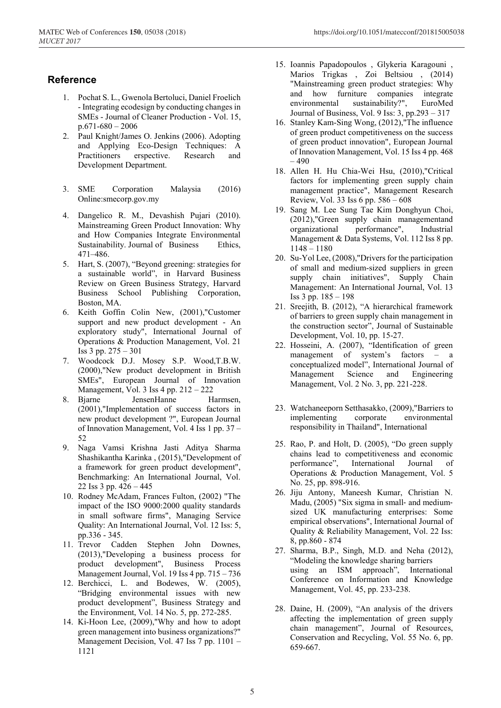# **Reference**

- 1. Pochat S. L., Gwenola Bertoluci, Daniel Froelich - Integrating ecodesign by conducting changes in SMEs - Journal of Cleaner Production - Vol. 15,  $p.671-680-2006$
- 2. Paul Knight/James O. Jenkins (2006). Adopting and Applying Eco-Design Techniques: A Practitioners erspective. Research and Development Department.
- 3. SME Corporation Malaysia (2016) Online:smecorp.gov.my
- 4. Dangelico R. M., Devashish Pujari (2010). Mainstreaming Green Product Innovation: Why and How Companies Integrate Environmental Sustainability. Journal of Business Ethics, 471–486.
- 5. Hart, S. (2007), "Beyond greening: strategies for a sustainable world", in Harvard Business Review on Green Business Strategy, Harvard Business School Publishing Corporation, Boston, MA.
- 6. Keith Goffin Colin New, (2001),"Customer support and new product development - An exploratory study", International Journal of Operations & Production Management, Vol. 21 Iss 3 pp. 275 – 301
- 7. Woodcock D.J. Mosey S.P. Wood,T.B.W. (2000),"New product development in British SMEs", European Journal of Innovation Management, Vol. 3 Iss 4 pp. 212 – 222
- 8. Bjarne JensenHanne Harmsen, (2001),"Implementation of success factors in new product development ?", European Journal of Innovation Management, Vol. 4 Iss 1 pp. 37 – 52
- 9. Naga Vamsi Krishna Jasti Aditya Sharma Shashikantha Karinka , (2015),"Development of a framework for green product development", Benchmarking: An International Journal, Vol. 22 Iss 3 pp. 426 – 445
- 10. Rodney McAdam, Frances Fulton, (2002) "The impact of the ISO 9000:2000 quality standards in small software firms", Managing Service Quality: An International Journal, Vol. 12 Iss: 5, pp.336 - 345.
- 11. Trevor Cadden Stephen John Downes, (2013),"Developing a business process for product development", Business Process Management Journal, Vol. 19 Iss 4 pp. 715 – 736
- 12. Berchicci, L. and Bodewes, W. (2005), "Bridging environmental issues with new product development", Business Strategy and the Environment, Vol. 14 No. 5, pp. 272-285.
- 14. Ki-Hoon Lee, (2009),"Why and how to adopt green management into business organizations?" Management Decision, Vol. 47 Iss 7 pp. 1101 – 1121
- 15. Ioannis Papadopoulos , Glykeria Karagouni , Marios Trigkas , Zoi Beltsiou , (2014) "Mainstreaming green product strategies: Why and how furniture companies integrate environmental sustainability?", EuroMed Journal of Business, Vol. 9 Iss: 3, pp.293 – 317
- 16. Stanley Kam-Sing Wong, (2012),"The influence of green product competitiveness on the success of green product innovation", European Journal of Innovation Management, Vol. 15 Iss 4 pp. 468  $-490$
- 18. Allen H. Hu Chia-Wei Hsu, (2010),"Critical factors for implementing green supply chain management practice", Management Research Review, Vol. 33 Iss 6 pp. 586 – 608
- 19. Sang M. Lee Sung Tae Kim Donghyun Choi, (2012),"Green supply chain managementand organizational performance", Industrial Management & Data Systems, Vol. 112 Iss 8 pp. 1148 – 1180
- 20. Su-Yol Lee, (2008),"Drivers for the participation of small and medium-sized suppliers in green supply chain initiatives", Supply Chain Management: An International Journal, Vol. 13 Iss 3 pp. 185 – 198
- 21. Sreejith, B. (2012), "A hierarchical framework of barriers to green supply chain management in the construction sector", Journal of Sustainable Development, Vol. 10, pp. 15-27.
- 22. Hosseini, A. (2007), "Identification of green management of system's factors – a conceptualized model", International Journal of Management Science and Engineering Management, Vol. 2 No. 3, pp. 221-228.
- 23. Watchaneeporn Setthasakko, (2009),"Barriers to implementing corporate environmental responsibility in Thailand", International
- 25. Rao, P. and Holt, D. (2005), "Do green supply chains lead to competitiveness and economic performance", International Journal of Operations & Production Management, Vol. 5 No. 25, pp. 898-916.
- 26. Jiju Antony, Maneesh Kumar, Christian N. Madu, (2005) "Six sigma in small- and mediumsized UK manufacturing enterprises: Some empirical observations", International Journal of Quality & Reliability Management, Vol. 22 Iss: 8, pp.860 - 874
- 27. Sharma, B.P., Singh, M.D. and Neha (2012), "Modeling the knowledge sharing barriers using an ISM approach", International Conference on Information and Knowledge Management, Vol. 45, pp. 233-238.
- 28. Daine, H. (2009), "An analysis of the drivers affecting the implementation of green supply chain management", Journal of Resources, Conservation and Recycling, Vol. 55 No. 6, pp. 659-667.